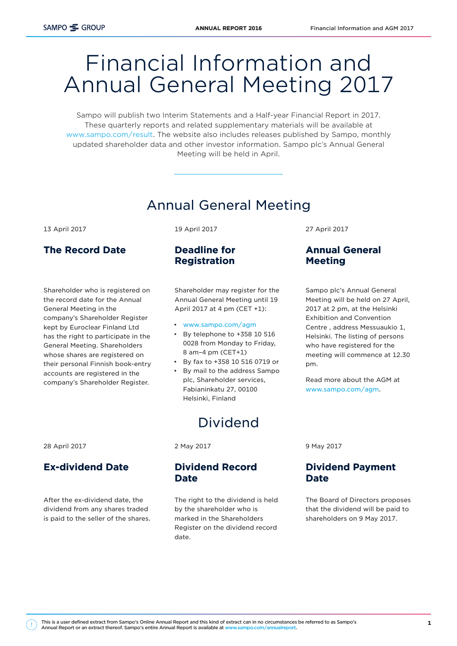# Financial Information and Annual General Meeting 2017

Sampo will publish two Interim Statements and a Half-year Financial Report in 2017. These quarterly reports and related supplementary materials will be available at [www.sampo.com/result.](http://www.sampo.com/result) The website also includes releases published by Sampo, monthly updated shareholder data and other investor information. Sampo plc's Annual General Meeting will be held in April.

# Annual General Meeting

13 April 2017

# The Record Date

Shareholder who is registered on the record date for the Annual General Meeting in the company's Shareholder Register kept by Euroclear Finland Ltd has the right to participate in the General Meeting. Shareholders whose shares are registered on their personal Finnish book-entry accounts are registered in the company's Shareholder Register.

19 April 2017

## Deadline for Registration

Shareholder may register for the Annual General Meeting until 19 April 2017 at 4 pm (CET +1):

- [www.sampo.com/agm](http://www.sampo.com/agm)
- By telephone to +358 10 516 0028 from Monday to Friday, 8 am–4 pm (CET+1)
- By fax to +358 10 516 0719 or
- By mail to the address Sampo plc, Shareholder services, Fabianinkatu 27, 00100 Helsinki, Finland

# Dividend

28 April 2017

### Ex-dividend Date

After the ex-dividend date, the dividend from any shares traded is paid to the seller of the shares. 2 May 2017

#### Dividend Record Date

The right to the dividend is held by the shareholder who is marked in the Shareholders Register on the dividend record date.

27 April 2017

# Annual General Meeting

Sampo plc's Annual General Meeting will be held on 27 April, 2017 at 2 pm, at the Helsinki Exhibition and Convention Centre , address Messuaukio 1, Helsinki. The listing of persons who have registered for the meeting will commence at 12.30 pm.

Read more about the AGM at [www.sampo.com/agm](http://www.sampo.com/agm).

9 May 2017

### Dividend Payment Date

The Board of Directors proposes that the dividend will be paid to shareholders on 9 May 2017.